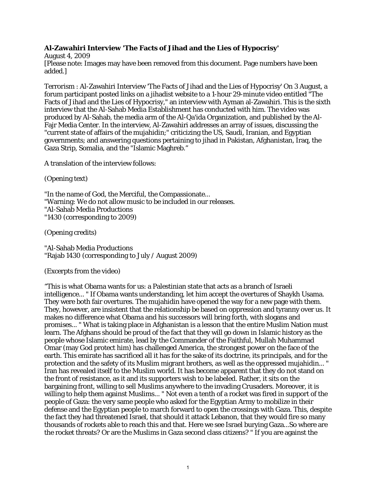## **Al-Zawahiri Interview 'The Facts of Jihad and the Lies of Hypocrisy'**

August 4, 2009 [Please note: Images may have been removed from this document. Page numbers have been added.]

Terrorism : Al-Zawahiri Interview 'The Facts of Jihad and the Lies of Hypocrisy' On 3 August, a forum participant posted links on a jihadist website to a 1-hour 29-minute video entitled "The Facts of Jihad and the Lies of Hypocrisy," an interview with Ayman al-Zawahiri. This is the sixth interview that the Al-Sahab Media Establishment has conducted with him. The video was produced by Al-Sahab, the media arm of the Al-Qa'ida Organization, and published by the Al-Fajr Media Center. In the interview, Al-Zawahiri addresses an array of issues, discussing the "current state of affairs of the mujahidin;" criticizing the US, Saudi, Iranian, and Egyptian governments; and answering questions pertaining to jihad in Pakistan, Afghanistan, Iraq, the Gaza Strip, Somalia, and the "Islamic Maghreb."

A translation of the interview follows:

(Opening text)

"In the name of God, the Merciful, the Compassionate... "Warning: We do not allow music to be included in our releases. "Al-Sahab Media Productions "1430 (corresponding to 2009)

(Opening credits)

"Al-Sahab Media Productions "Rajab 1430 (corresponding to July / August 2009)

(Excerpts from the video)

"This is what Obama wants for us: a Palestinian state that acts as a branch of Israeli intelligence... " If Obama wants understanding, let him accept the overtures of Shaykh Usama. They were both fair overtures. The mujahidin have opened the way for a new page with them. They, however, are insistent that the relationship be based on oppression and tyranny over us. It makes no difference what Obama and his successors will bring forth, with slogans and promises... " What is taking place in Afghanistan is a lesson that the entire Muslim Nation must learn. The Afghans should be proud of the fact that they will go down in Islamic history as the people whose Islamic emirate, lead by the Commander of the Faithful, Mullah Muhammad Omar (may God protect him) has challenged America, the strongest power on the face of the earth. This emirate has sacrificed all it has for the sake of its doctrine, its principals, and for the protection and the safety of its Muslim migrant brothers, as well as the oppressed mujahidin... " Iran has revealed itself to the Muslim world. It has become apparent that they do not stand on the front of resistance, as it and its supporters wish to be labeled. Rather, it sits on the bargaining front, willing to sell Muslims anywhere to the invading Crusaders. Moreover, it is willing to help them against Muslims... " Not even a tenth of a rocket was fired in support of the people of Gaza: the very same people who asked for the Egyptian Army to mobilize in their defense and the Egyptian people to march forward to open the crossings with Gaza. This, despite the fact they had threatened Israel, that should it attack Lebanon, that they would fire so many thousands of rockets able to reach this and that. Here we see Israel burying Gaza...So where are the rocket threats? Or are the Muslims in Gaza second class citizens? " If you are against the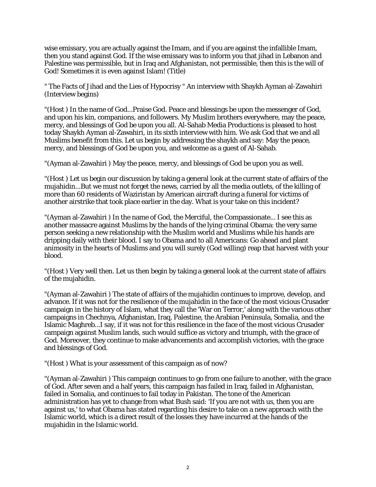wise emissary, you are actually against the Imam, and if you are against the infallible Imam, then you stand against God. If the wise emissary was to inform you that jihad in Lebanon and Palestine was permissible, but in Iraq and Afghanistan, not permissible, then this is the will of God! Sometimes it is even against Islam! (Title)

" The Facts of Jihad and the Lies of Hypocrisy " An interview with Shaykh Ayman al-Zawahiri (Interview begins)

"(Host ) In the name of God...Praise God. Peace and blessings be upon the messenger of God, and upon his kin, companions, and followers. My Muslim brothers everywhere, may the peace, mercy, and blessings of God be upon you all. Al-Sahab Media Productions is pleased to host today Shaykh Ayman al-Zawahiri, in its sixth interview with him. We ask God that we and all Muslims benefit from this. Let us begin by addressing the shaykh and say: May the peace, mercy, and blessings of God be upon you, and welcome as a guest of Al-Sahab.

"(Ayman al-Zawahiri ) May the peace, mercy, and blessings of God be upon you as well.

"(Host ) Let us begin our discussion by taking a general look at the current state of affairs of the mujahidin...But we must not forget the news, carried by all the media outlets, of the killing of more than 60 residents of Waziristan by American aircraft during a funeral for victims of another airstrike that took place earlier in the day. What is your take on this incident?

"(Ayman al-Zawahiri ) In the name of God, the Merciful, the Compassionate... I see this as another massacre against Muslims by the hands of the lying criminal Obama: the very same person seeking a new relationship with the Muslim world and Muslims while his hands are dripping daily with their blood. I say to Obama and to all Americans: Go ahead and plant animosity in the hearts of Muslims and you will surely (God willing) reap that harvest with your blood.

"(Host ) Very well then. Let us then begin by taking a general look at the current state of affairs of the mujahidin.

"(Ayman al-Zawahiri ) The state of affairs of the mujahidin continues to improve, develop, and advance. If it was not for the resilience of the mujahidin in the face of the most vicious Crusader campaign in the history of Islam, what they call the 'War on Terror,' along with the various other campaigns in Chechnya, Afghanistan, Iraq, Palestine, the Arabian Peninsula, Somalia, and the Islamic Maghreb...I say, if it was not for this resilience in the face of the most vicious Crusader campaign against Muslim lands, such would suffice as victory and triumph, with the grace of God. Moreover, they continue to make advancements and accomplish victories, with the grace and blessings of God.

"(Host ) What is your assessment of this campaign as of now?

"(Ayman al-Zawahiri ) This campaign continues to go from one failure to another, with the grace of God. After seven and a half years, this campaign has failed in Iraq, failed in Afghanistan, failed in Somalia, and continues to fail today in Pakistan. The tone of the American administration has yet to change from what Bush said: 'If you are not with us, then you are against us,' to what Obama has stated regarding his desire to take on a new approach with the Islamic world, which is a direct result of the losses they have incurred at the hands of the mujahidin in the Islamic world.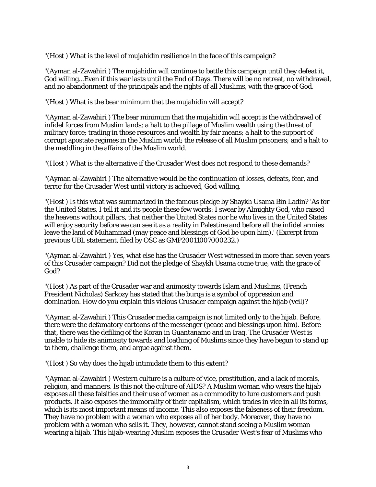"(Host ) What is the level of mujahidin resilience in the face of this campaign?

"(Ayman al-Zawahiri ) The mujahidin will continue to battle this campaign until they defeat it, God willing...Even if this war lasts until the End of Days. There will be no retreat, no withdrawal, and no abandonment of the principals and the rights of all Muslims, with the grace of God.

"(Host ) What is the bear minimum that the mujahidin will accept?

"(Ayman al-Zawahiri ) The bear minimum that the mujahidin will accept is the withdrawal of infidel forces from Muslim lands; a halt to the pillage of Muslim wealth using the threat of military force; trading in those resources and wealth by fair means; a halt to the support of corrupt apostate regimes in the Muslim world; the release of all Muslim prisoners; and a halt to the meddling in the affairs of the Muslim world.

"(Host ) What is the alternative if the Crusader West does not respond to these demands?

"(Ayman al-Zawahiri ) The alternative would be the continuation of losses, defeats, fear, and terror for the Crusader West until victory is achieved, God willing.

"(Host ) Is this what was summarized in the famous pledge by Shaykh Usama Bin Ladin? 'As for the United States, I tell it and its people these few words: I swear by Almighty God, who raised the heavens without pillars, that neither the United States nor he who lives in the United States will enjoy security before we can see it as a reality in Palestine and before all the infidel armies leave the land of Muhammad (may peace and blessings of God be upon him).' (Excerpt from previous UBL statement, filed by OSC as GMP20011007000232.)

"(Ayman al-Zawahiri ) Yes, what else has the Crusader West witnessed in more than seven years of this Crusader campaign? Did not the pledge of Shaykh Usama come true, with the grace of God?

"(Host ) As part of the Crusader war and animosity towards Islam and Muslims, (French President Nicholas) Sarkozy has stated that the burqa is a symbol of oppression and domination. How do you explain this vicious Crusader campaign against the hijab (veil)?

"(Ayman al-Zawahiri ) This Crusader media campaign is not limited only to the hijab. Before, there were the defamatory cartoons of the messenger (peace and blessings upon him). Before that, there was the defiling of the Koran in Guantanamo and in Iraq. The Crusader West is unable to hide its animosity towards and loathing of Muslims since they have begun to stand up to them, challenge them, and argue against them.

"(Host ) So why does the hijab intimidate them to this extent?

"(Ayman al-Zawahiri ) Western culture is a culture of vice, prostitution, and a lack of morals, religion, and manners. Is this not the culture of AIDS? A Muslim woman who wears the hijab exposes all these falsities and their use of women as a commodity to lure customers and push products. It also exposes the immorality of their capitalism, which trades in vice in all its forms, which is its most important means of income. This also exposes the falseness of their freedom. They have no problem with a woman who exposes all of her body. Moreover, they have no problem with a woman who sells it. They, however, cannot stand seeing a Muslim woman wearing a hijab. This hijab-wearing Muslim exposes the Crusader West's fear of Muslims who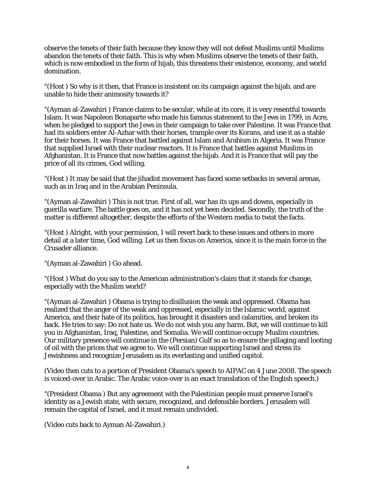observe the tenets of their faith because they know they will not defeat Muslims until Muslims abandon the tenets of their faith. This is why when Muslims observe the tenets of their faith, which is now embodied in the form of hijab, this threatens their existence, economy, and world domination.

"(Host ) So why is it then, that France is insistent on its campaign against the hijab, and are unable to hide their animosity towards it?

"(Ayman al-Zawahiri ) France claims to be secular, while at its core, it is very resentful towards Islam. It was Napoleon Bonaparte who made his famous statement to the Jews in 1799, in Acre, when he pledged to support the Jews in their campaign to take over Palestine. It was France that had its soldiers enter Al-Azhar with their horses, trample over its Korans, and use it as a stable for their horses. It was France that battled against Islam and Arabism in Algeria. It was France that supplied Israel with their nuclear reactors. It is France that battles against Muslims in Afghanistan. It is France that now battles against the hijab. And it is France that will pay the price of all its crimes, God willing.

"(Host ) It may be said that the jihadist movement has faced some setbacks in several arenas, such as in Iraq and in the Arabian Peninsula.

"(Ayman al-Zawahiri ) This is not true. First of all, war has its ups and downs, especially in guerilla warfare. The battle goes on, and it has not yet been decided. Secondly, the truth of the matter is different altogether, despite the efforts of the Western media to twist the facts.

"(Host ) Alright, with your permission, I will revert back to these issues and others in more detail at a later time, God willing. Let us then focus on America, since it is the main force in the Crusader alliance.

"(Ayman al-Zawahiri ) Go ahead.

"(Host ) What do you say to the American administration's claim that it stands for change, especially with the Muslim world?

"(Ayman al-Zawahiri ) Obama is trying to disillusion the weak and oppressed. Obama has realized that the anger of the weak and oppressed, especially in the Islamic world, against America, and their hate of its politics, has brought it disasters and calamities, and broken its back. He tries to say: Do not hate us. We do not wish you any harm. But, we will continue to kill you in Afghanistan, Iraq, Palestine, and Somalia. We will continue occupy Muslim countries. Our military presence will continue in the (Persian) Gulf so as to ensure the pillaging and looting of oil with the prices that we agree to. We will continue supporting Israel and stress its Jewishness and recognize Jerusalem as its everlasting and unified capitol.

(Video then cuts to a portion of President Obama's speech to AIPAC on 4 June 2008. The speech is voiced-over in Arabic. The Arabic voice-over is an exact translation of the English speech.)

"(President Obama ) But any agreement with the Palestinian people must preserve Israel's identity as a Jewish state, with secure, recognized, and defensible borders. Jerusalem will remain the capital of Israel, and it must remain undivided.

(Video cuts back to Ayman Al-Zawahiri.)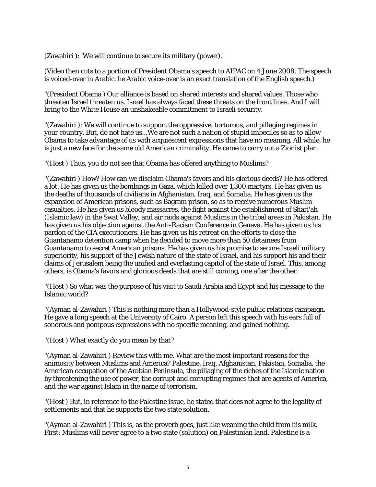(Zawahiri ): 'We will continue to secure its military (power).'

(Video then cuts to a portion of President Obama's speech to AIPAC on 4 June 2008. The speech is voiced-over in Arabic. he Arabic voice-over is an exact translation of the English speech.)

"(President Obama ) Our alliance is based on shared interests and shared values. Those who threaten Israel threaten us. Israel has always faced these threats on the front lines. And I will bring to the White House an unshakeable commitment to Israeli security.

"(Zawahiri ): We will continue to support the oppressive, torturous, and pillaging regimes in your country. But, do not hate us...We are not such a nation of stupid imbeciles so as to allow Obama to take advantage of us with acquiescent expressions that have no meaning. All while, he is just a new face for the same old American criminality. He came to carry out a Zionist plan.

"(Host ) Thus, you do not see that Obama has offered anything to Muslims?

"(Zawahiri ) How? How can we disclaim Obama's favors and his glorious deeds? He has offered a lot. He has given us the bombings in Gaza, which killed over 1,300 martyrs. He has given us the deaths of thousands of civilians in Afghanistan, Iraq, and Somalia. He has given us the expansion of American prisons, such as Bagram prison, so as to receive numerous Muslim casualties. He has given us bloody massacres, the fight against the establishment of Shari'ah (Islamic law) in the Swat Valley, and air raids against Muslims in the tribal areas in Pakistan. He has given us his objection against the Anti-Racism Conference in Geneva. He has given us his pardon of the CIA executioners. He has given us his retreat on the efforts to close the Guantanamo detention camp when he decided to move more than 50 detainees from Guantanamo to secret American prisons. He has given us his promise to secure Israeli military superiority, his support of the Jewish nature of the state of Israel, and his support his and their claims of Jerusalem being the unified and everlasting capitol of the state of Israel. This, among others, is Obama's favors and glorious deeds that are still coming, one after the other.

"(Host ) So what was the purpose of his visit to Saudi Arabia and Egypt and his message to the Islamic world?

"(Ayman al-Zawahiri ) This is nothing more than a Hollywood-style public relations campaign. He gave a long speech at the University of Cairo. A person left this speech with his ears full of sonorous and pompous expressions with no specific meaning, and gained nothing.

"(Host ) What exactly do you mean by that?

"(Ayman al-Zawahiri ) Review this with me. What are the most important reasons for the animosity between Muslims and America? Palestine, Iraq, Afghanistan, Pakistan, Somalia, the American occupation of the Arabian Peninsula, the pillaging of the riches of the Islamic nation by threatening the use of power, the corrupt and corrupting regimes that are agents of America, and the war against Islam in the name of terrorism.

"(Host ) But, in reference to the Palestine issue, he stated that does not agree to the legality of settlements and that he supports the two state solution.

"(Ayman al-Zawahiri ) This is, as the proverb goes, just like weaning the child from his milk. First: Muslims will never agree to a two state (solution) on Palestinian land. Palestine is a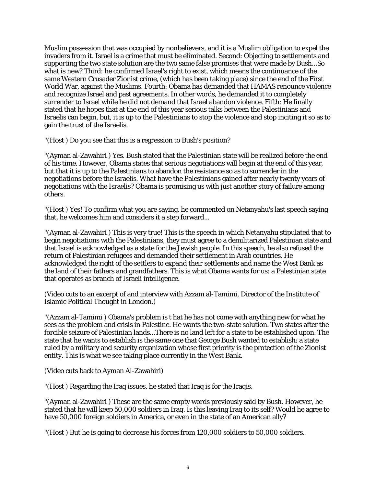Muslim possession that was occupied by nonbelievers, and it is a Muslim obligation to expel the invaders from it. Israel is a crime that must be eliminated. Second: Objecting to settlements and supporting the two state solution are the two same false promises that were made by Bush...So what is new? Third: he confirmed Israel's right to exist, which means the continuance of the same Western Crusader Zionist crime, (which has been taking place) since the end of the First World War, against the Muslims. Fourth: Obama has demanded that HAMAS renounce violence and recognize Israel and past agreements. In other words, he demanded it to completely surrender to Israel while he did not demand that Israel abandon violence. Fifth: He finally stated that he hopes that at the end of this year serious talks between the Palestinians and Israelis can begin, but, it is up to the Palestinians to stop the violence and stop inciting it so as to gain the trust of the Israelis.

"(Host ) Do you see that this is a regression to Bush's position?

"(Ayman al-Zawahiri ) Yes. Bush stated that the Palestinian state will be realized before the end of his time. However, Obama states that serious negotiations will begin at the end of this year, but that it is up to the Palestinians to abandon the resistance so as to surrender in the negotiations before the Israelis. What have the Palestinians gained after nearly twenty years of negotiations with the Israelis? Obama is promising us with just another story of failure among others.

"(Host ) Yes! To confirm what you are saying, he commented on Netanyahu's last speech saying that, he welcomes him and considers it a step forward...

"(Ayman al-Zawahiri ) This is very true! This is the speech in which Netanyahu stipulated that to begin negotiations with the Palestinians, they must agree to a demilitarized Palestinian state and that Israel is acknowledged as a state for the Jewish people. In this speech, he also refused the return of Palestinian refugees and demanded their settlement in Arab countries. He acknowledged the right of the settlers to expand their settlements and name the West Bank as the land of their fathers and grandfathers. This is what Obama wants for us: a Palestinian state that operates as branch of Israeli intelligence.

(Video cuts to an excerpt of and interview with Azzam al-Tamimi, Director of the Institute of Islamic Political Thought in London.)

"(Azzam al-Tamimi ) Obama's problem is t hat he has not come with anything new for what he sees as the problem and crisis in Palestine. He wants the two-state solution. Two states after the forcible seizure of Palestinian lands...There is no land left for a state to be established upon. The state that he wants to establish is the same one that George Bush wanted to establish: a state ruled by a military and security organization whose first priority is the protection of the Zionist entity. This is what we see taking place currently in the West Bank.

(Video cuts back to Ayman Al-Zawahiri)

"(Host ) Regarding the Iraq issues, he stated that Iraq is for the Iraqis.

"(Ayman al-Zawahiri ) These are the same empty words previously said by Bush. However, he stated that he will keep 50,000 soldiers in Iraq. Is this leaving Iraq to its self? Would he agree to have 50,000 foreign soldiers in America, or even in the state of an American ally?

"(Host ) But he is going to decrease his forces from 120,000 soldiers to 50,000 soldiers.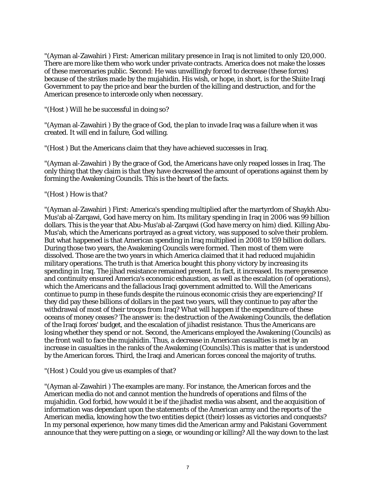"(Ayman al-Zawahiri ) First: American military presence in Iraq is not limited to only 120,000. There are more like them who work under private contracts. America does not make the losses of these mercenaries public. Second: He was unwillingly forced to decrease (these forces) because of the strikes made by the mujahidin. His wish, or hope, in short, is for the Shiite Iraqi Government to pay the price and bear the burden of the killing and destruction, and for the American presence to intercede only when necessary.

"(Host ) Will he be successful in doing so?

"(Ayman al-Zawahiri ) By the grace of God, the plan to invade Iraq was a failure when it was created. It will end in failure, God willing.

"(Host ) But the Americans claim that they have achieved successes in Iraq.

"(Ayman al-Zawahiri ) By the grace of God, the Americans have only reaped losses in Iraq. The only thing that they claim is that they have decreased the amount of operations against them by forming the Awakening Councils. This is the heart of the facts.

"(Host ) How is that?

"(Ayman al-Zawahiri ) First: America's spending multiplied after the martyrdom of Shaykh Abu-Mus'ab al-Zarqawi, God have mercy on him. Its military spending in Iraq in 2006 was 99 billion dollars. This is the year that Abu-Mus'ab al-Zarqawi (God have mercy on him) died. Killing Abu-Mus'ab, which the Americans portrayed as a great victory, was supposed to solve their problem. But what happened is that American spending in Iraq multiplied in 2008 to 159 billion dollars. During those two years, the Awakening Councils were formed. Then most of them were dissolved. Those are the two years in which America claimed that it had reduced mujahidin military operations. The truth is that America bought this phony victory by increasing its spending in Iraq. The jihad resistance remained present. In fact, it increased. Its mere presence and continuity ensured America's economic exhaustion, as well as the escalation (of operations), which the Americans and the fallacious Iraqi government admitted to. Will the Americans continue to pump in these funds despite the ruinous economic crisis they are experiencing? If they did pay these billions of dollars in the past two years, will they continue to pay after the withdrawal of most of their troops from Iraq? What will happen if the expenditure of these oceans of money ceases? The answer is: the destruction of the Awakening Councils, the deflation of the Iraqi forces' budget, and the escalation of jihadist resistance. Thus the Americans are losing whether they spend or not. Second, the Americans employed the Awakening (Councils) as the front wall to face the mujahidin. Thus, a decrease in American casualties is met by an increase in casualties in the ranks of the Awakening (Councils).This is matter that is understood by the American forces. Third, the Iraqi and American forces conceal the majority of truths.

"(Host ) Could you give us examples of that?

"(Ayman al-Zawahiri ) The examples are many. For instance, the American forces and the American media do not and cannot mention the hundreds of operations and films of the mujahidin. God forbid, how would it be if the jihadist media was absent, and the acquisition of information was dependant upon the statements of the American army and the reports of the American media, knowing how the two entities depict (their) losses as victories and conquests? In my personal experience, how many times did the American army and Pakistani Government announce that they were putting on a siege, or wounding or killing? All the way down to the last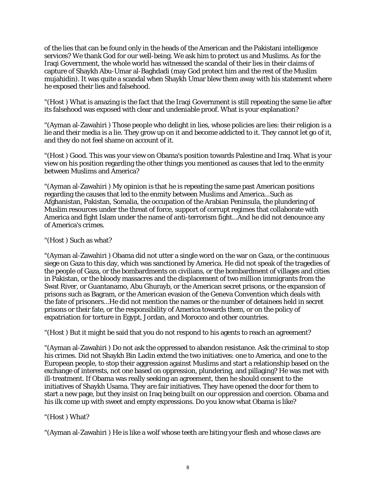of the lies that can be found only in the heads of the American and the Pakistani intelligence services? We thank God for our well-being. We ask him to protect us and Muslims. As for the Iraqi Government, the whole world has witnessed the scandal of their lies in their claims of capture of Shaykh Abu-Umar al-Baghdadi (may God protect him and the rest of the Muslim mujahidin). It was quite a scandal when Shaykh Umar blew them away with his statement where he exposed their lies and falsehood.

"(Host ) What is amazing is the fact that the Iraqi Government is still repeating the same lie after its falsehood was exposed with clear and undeniable proof. What is your explanation?

"(Ayman al-Zawahiri ) Those people who delight in lies, whose policies are lies: their religion is a lie and their media is a lie. They grow up on it and become addicted to it. They cannot let go of it, and they do not feel shame on account of it.

"(Host ) Good. This was your view on Obama's position towards Palestine and Iraq. What is your view on his position regarding the other things you mentioned as causes that led to the enmity between Muslims and America?

"(Ayman al-Zawahiri ) My opinion is that he is repeating the same past American positions regarding the causes that led to the enmity between Muslims and America...Such as Afghanistan, Pakistan, Somalia, the occupation of the Arabian Peninsula, the plundering of Muslim resources under the threat of force, support of corrupt regimes that collaborate with America and fight Islam under the name of anti-terrorism fight...And he did not denounce any of America's crimes.

## "(Host ) Such as what?

"(Ayman al-Zawahiri ) Obama did not utter a single word on the war on Gaza, or the continuous siege on Gaza to this day, which was sanctioned by America. He did not speak of the tragedies of the people of Gaza, or the bombardments on civilians, or the bombardment of villages and cities in Pakistan, or the bloody massacres and the displacement of two million immigrants from the Swat River, or Guantanamo, Abu Ghurayb, or the American secret prisons, or the expansion of prisons such as Bagram, or the American evasion of the Geneva Convention which deals with the fate of prisoners...He did not mention the names or the number of detainees held in secret prisons or their fate, or the responsibility of America towards them, or on the policy of expatriation for torture in Egypt, Jordan, and Morocco and other countries.

"(Host ) But it might be said that you do not respond to his agents to reach an agreement?

"(Ayman al-Zawahiri ) Do not ask the oppressed to abandon resistance. Ask the criminal to stop his crimes. Did not Shaykh Bin Ladin extend the two initiatives: one to America, and one to the European people, to stop their aggression against Muslims and start a relationship based on the exchange of interests, not one based on oppression, plundering, and pillaging? He was met with ill-treatment. If Obama was really seeking an agreement, then he should consent to the initiatives of Shaykh Usama. They are fair initiatives. They have opened the door for them to start a new page, but they insist on Iraq being built on our oppression and coercion. Obama and his ilk come up with sweet and empty expressions. Do you know what Obama is like?

## "(Host ) What?

"(Ayman al-Zawahiri ) He is like a wolf whose teeth are biting your flesh and whose claws are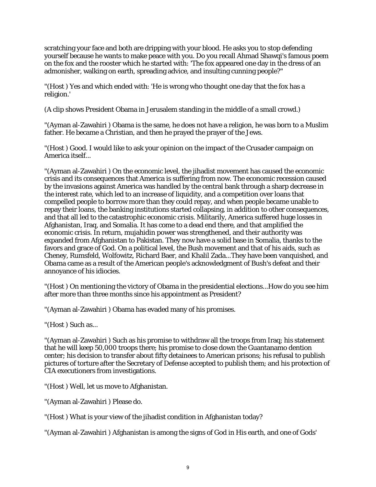scratching your face and both are dripping with your blood. He asks you to stop defending yourself because he wants to make peace with you. Do you recall Ahmad Shawqi's famous poem on the fox and the rooster which he started with: 'The fox appeared one day in the dress of an admonisher, walking on earth, spreading advice, and insulting cunning people?"

"(Host ) Yes and which ended with: 'He is wrong who thought one day that the fox has a religion.'

(A clip shows President Obama in Jerusalem standing in the middle of a small crowd.)

"(Ayman al-Zawahiri ) Obama is the same, he does not have a religion, he was born to a Muslim father. He became a Christian, and then he prayed the prayer of the Jews.

"(Host ) Good. I would like to ask your opinion on the impact of the Crusader campaign on America itself...

"(Ayman al-Zawahiri ) On the economic level, the jihadist movement has caused the economic crisis and its consequences that America is suffering from now. The economic recession caused by the invasions against America was handled by the central bank through a sharp decrease in the interest rate, which led to an increase of liquidity, and a competition over loans that compelled people to borrow more than they could repay, and when people became unable to repay their loans, the banking institutions started collapsing, in addition to other consequences, and that all led to the catastrophic economic crisis. Militarily, America suffered huge losses in Afghanistan, Iraq, and Somalia. It has come to a dead end there, and that amplified the economic crisis. In return, mujahidin power was strengthened, and their authority was expanded from Afghanistan to Pakistan. They now have a solid base in Somalia, thanks to the favors and grace of God. On a political level, the Bush movement and that of his aids, such as Cheney, Rumsfeld, Wolfowitz, Richard Baer, and Khalil Zada...They have been vanquished, and Obama came as a result of the American people's acknowledgment of Bush's defeat and their annoyance of his idiocies.

"(Host ) On mentioning the victory of Obama in the presidential elections...How do you see him after more than three months since his appointment as President?

"(Ayman al-Zawahiri ) Obama has evaded many of his promises.

"(Host ) Such as...

"(Ayman al-Zawahiri ) Such as his promise to withdraw all the troops from Iraq; his statement that he will keep 50,000 troops there; his promise to close down the Guantanamo dention center; his decision to transfer about fifty detainees to American prisons; his refusal to publish pictures of torture after the Secretary of Defense accepted to publish them; and his protection of CIA executioners from investigations.

"(Host ) Well, let us move to Afghanistan.

"(Ayman al-Zawahiri ) Please do.

"(Host ) What is your view of the jihadist condition in Afghanistan today?

"(Ayman al-Zawahiri ) Afghanistan is among the signs of God in His earth, and one of Gods'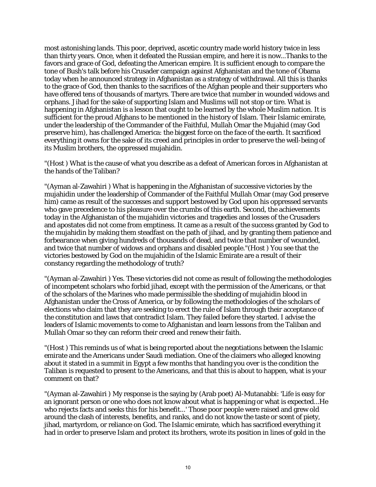most astonishing lands. This poor, deprived, ascetic country made world history twice in less than thirty years. Once, when it defeated the Russian empire, and here it is now...Thanks to the favors and grace of God, defeating the American empire. It is sufficient enough to compare the tone of Bush's talk before his Crusader campaign against Afghanistan and the tone of Obama today when he announced strategy in Afghanistan as a strategy of withdrawal. All this is thanks to the grace of God, then thanks to the sacrifices of the Afghan people and their supporters who have offered tens of thousands of martyrs. There are twice that number in wounded widows and orphans. Jihad for the sake of supporting Islam and Muslims will not stop or tire. What is happening in Afghanistan is a lesson that ought to be learned by the whole Muslim nation. It is sufficient for the proud Afghans to be mentioned in the history of Islam. Their Islamic emirate, under the leadership of the Commander of the Faithful, Mullah Omar the Mujahid (may God preserve him), has challenged America: the biggest force on the face of the earth. It sacrificed everything it owns for the sake of its creed and principles in order to preserve the well-being of its Muslim brothers, the oppressed mujahidin.

"(Host ) What is the cause of what you describe as a defeat of American forces in Afghanistan at the hands of the Taliban?

"(Ayman al-Zawahiri ) What is happening in the Afghanistan of successive victories by the mujahidin under the leadership of Commander of the Faithful Mullah Omar (may God preserve him) came as result of the successes and support bestowed by God upon his oppressed servants who gave precedence to his pleasure over the crumbs of this earth. Second, the achievements today in the Afghanistan of the mujahidin victories and tragedies and losses of the Crusaders and apostates did not come from emptiness. It came as a result of the success granted by God to the mujahidin by making them steadfast on the path of jihad, and by granting them patience and forbearance when giving hundreds of thousands of dead, and twice that number of wounded, and twice that number of widows and orphans and disabled people."(Host ) You see that the victories bestowed by God on the mujahidin of the Islamic Emirate are a result of their constancy regarding the methodology of truth?

"(Ayman al-Zawahiri ) Yes. These victories did not come as result of following the methodologies of incompetent scholars who forbid jihad, except with the permission of the Americans, or that of the scholars of the Marines who made permissible the shedding of mujahidin blood in Afghanistan under the Cross of America, or by following the methodologies of the scholars of elections who claim that they are seeking to erect the rule of Islam through their acceptance of the constitution and laws that contradict Islam. They failed before they started. I advise the leaders of Islamic movements to come to Afghanistan and learn lessons from the Taliban and Mullah Omar so they can reform their creed and renew their faith.

"(Host ) This reminds us of what is being reported about the negotiations between the Islamic emirate and the Americans under Saudi mediation. One of the claimers who alleged knowing about it stated in a summit in Egypt a few months that handing you over is the condition the Taliban is requested to present to the Americans, and that this is about to happen, what is your comment on that?

"(Ayman al-Zawahiri ) My response is the saying by (Arab poet) Al-Mutanabbi: 'Life is easy for an ignorant person or one who does not know about what is happening or what is expected...He who rejects facts and seeks this for his benefit...' Those poor people were raised and grew old around the clash of interests, benefits, and ranks, and do not know the taste or scent of piety, jihad, martyrdom, or reliance on God. The Islamic emirate, which has sacrificed everything it had in order to preserve Islam and protect its brothers, wrote its position in lines of gold in the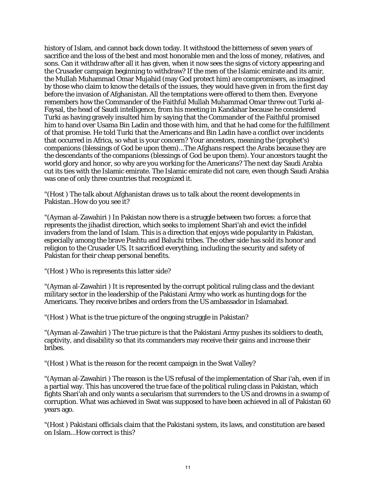history of Islam, and cannot back down today. It withstood the bitterness of seven years of sacrifice and the loss of the best and most honorable men and the loss of money, relatives, and sons. Can it withdraw after all it has given, when it now sees the signs of victory appearing and the Crusader campaign beginning to withdraw? If the men of the Islamic emirate and its amir, the Mullah Muhammad Omar Mujahid (may God protect him) are compromisers, as imagined by those who claim to know the details of the issues, they would have given in from the first day before the invasion of Afghanistan. All the temptations were offered to them then. Everyone remembers how the Commander of the Faithful Mullah Muhammad Omar threw out Turki al-Faysal, the head of Saudi intelligence, from his meeting in Kandahar because he considered Turki as having gravely insulted him by saying that the Commander of the Faithful promised him to hand over Usama Bin Ladin and those with him, and that he had come for the fulfillment of that promise. He told Turki that the Americans and Bin Ladin have a conflict over incidents that occurred in Africa, so what is your concern? Your ancestors, meaning the (prophet's) companions (blessings of God be upon them)...The Afghans respect the Arabs because they are the descendants of the companions (blessings of God be upon them). Your ancestors taught the world glory and honor, so why are you working for the Americans? The next day Saudi Arabia cut its ties with the Islamic emirate. The Islamic emirate did not care, even though Saudi Arabia was one of only three countries that recognized it.

"(Host ) The talk about Afghanistan draws us to talk about the recent developments in Pakistan..How do you see it?

"(Ayman al-Zawahiri ) In Pakistan now there is a struggle between two forces: a force that represents the jihadist direction, which seeks to implement Shari'ah and evict the infidel invaders from the land of Islam. This is a direction that enjoys wide popularity in Pakistan, especially among the brave Pashtu and Baluchi tribes. The other side has sold its honor and religion to the Crusader US. It sacrificed everything, including the security and safety of Pakistan for their cheap personal benefits.

"(Host ) Who is represents this latter side?

"(Ayman al-Zawahiri ) It is represented by the corrupt political ruling class and the deviant military sector in the leadership of the Pakistani Army who work as hunting dogs for the Americans. They receive bribes and orders from the US ambassador in Islamabad.

"(Host ) What is the true picture of the ongoing struggle in Pakistan?

"(Ayman al-Zawahiri ) The true picture is that the Pakistani Army pushes its soldiers to death, captivity, and disability so that its commanders may receive their gains and increase their bribes.

"(Host ) What is the reason for the recent campaign in the Swat Valley?

"(Ayman al-Zawahiri ) The reason is the US refusal of the implementation of Shar i'ah, even if in a partial way. This has uncovered the true face of the political ruling class in Pakistan, which fights Shari'ah and only wants a secularism that surrenders to the US and drowns in a swamp of corruption. What was achieved in Swat was supposed to have been achieved in all of Pakistan 60 years ago.

"(Host ) Pakistani officials claim that the Pakistani system, its laws, and constitution are based on Islam...How correct is this?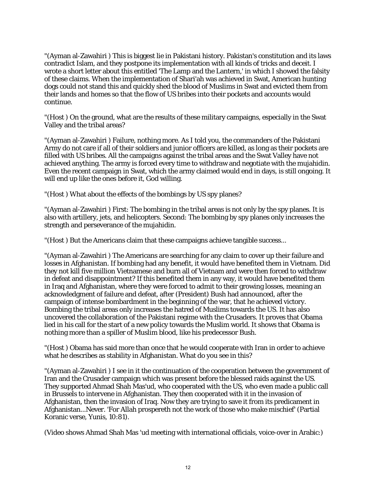"(Ayman al-Zawahiri ) This is biggest lie in Pakistani history. Pakistan's constitution and its laws contradict Islam, and they postpone its implementation with all kinds of tricks and deceit. I wrote a short letter about this entitled 'The Lamp and the Lantern,' in which I showed the falsity of these claims. When the implementation of Shari'ah was achieved in Swat, American hunting dogs could not stand this and quickly shed the blood of Muslims in Swat and evicted them from their lands and homes so that the flow of US bribes into their pockets and accounts would continue.

"(Host ) On the ground, what are the results of these military campaigns, especially in the Swat Valley and the tribal areas?

"(Ayman al-Zawahiri ) Failure, nothing more. As I told you, the commanders of the Pakistani Army do not care if all of their soldiers and junior officers are killed, as long as their pockets are filled with US bribes. All the campaigns against the tribal areas and the Swat Valley have not achieved anything. The army is forced every time to withdraw and negotiate with the mujahidin. Even the recent campaign in Swat, which the army claimed would end in days, is still ongoing. It will end up like the ones before it, God willing.

"(Host ) What about the effects of the bombings by US spy planes?

"(Ayman al-Zawahiri ) First: The bombing in the tribal areas is not only by the spy planes. It is also with artillery, jets, and helicopters. Second: The bombing by spy planes only increases the strength and perseverance of the mujahidin.

"(Host ) But the Americans claim that these campaigns achieve tangible success...

"(Ayman al-Zawahiri ) The Americans are searching for any claim to cover up their failure and losses in Afghanistan. If bombing had any benefit, it would have benefited them in Vietnam. Did they not kill five million Vietnamese and burn all of Vietnam and were then forced to withdraw in defeat and disappointment? If this benefited them in any way, it would have benefited them in Iraq and Afghanistan, where they were forced to admit to their growing losses, meaning an acknowledgment of failure and defeat, after (President) Bush had announced, after the campaign of intense bombardment in the beginning of the war, that he achieved victory. Bombing the tribal areas only increases the hatred of Muslims towards the US. It has also uncovered the collaboration of the Pakistani regime with the Crusaders. It proves that Obama lied in his call for the start of a new policy towards the Muslim world. It shows that Obama is nothing more than a spiller of Muslim blood, like his predecessor Bush.

"(Host ) Obama has said more than once that he would cooperate with Iran in order to achieve what he describes as stability in Afghanistan. What do you see in this?

"(Ayman al-Zawahiri ) I see in it the continuation of the cooperation between the government of Iran and the Crusader campaign which was present before the blessed raids against the US. They supported Ahmad Shah Mas'ud, who cooperated with the US, who even made a public call in Brussels to intervene in Afghanistan. They then cooperated with it in the invasion of Afghanistan, then the invasion of Iraq. Now they are trying to save it from its predicament in Afghanistan...Never. 'For Allah prospereth not the work of those who make mischief' (Partial Koranic verse, Yunis, 10:81).

(Video shows Ahmad Shah Mas 'ud meeting with international officials, voice-over in Arabic:)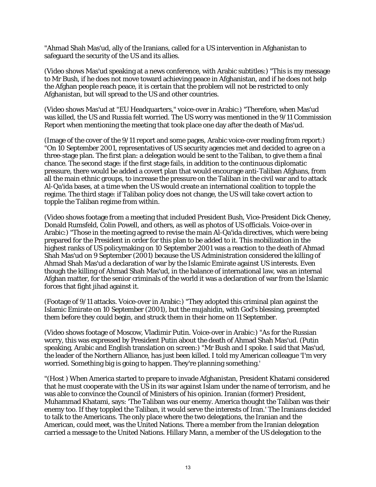"Ahmad Shah Mas'ud, ally of the Iranians, called for a US intervention in Afghanistan to safeguard the security of the US and its allies.

(Video shows Mas'ud speaking at a news conference, with Arabic subtitles:) "This is my message to Mr Bush, if he does not move toward achieving peace in Afghanistan, and if he does not help the Afghan people reach peace, it is certain that the problem will not be restricted to only Afghanistan, but will spread to the US and other countries.

(Video shows Mas'ud at "EU Headquarters," voice-over in Arabic:) "Therefore, when Mas'ud was killed, the US and Russia felt worried. The US worry was mentioned in the 9/11 Commission Report when mentioning the meeting that took place one day after the death of Mas'ud.

(Image of the cover of the 9/11 report and some pages, Arabic voice-over reading from report:) "On 10 September 2001, representatives of US security agencies met and decided to agree on a three-stage plan. The first plan: a delegation would be sent to the Taliban, to give them a final chance. The second stage: if the first stage fails, in addition to the continuous diplomatic pressure, there would be added a covert plan that would encourage anti-Taliban Afghans, from all the main ethnic groups, to increase the pressure on the Taliban in the civil war and to attack Al-Qa'ida bases, at a time when the US would create an international coalition to topple the regime. The third stage: if Taliban policy does not change, the US will take covert action to topple the Taliban regime from within.

(Video shows footage from a meeting that included President Bush, Vice-President Dick Cheney, Donald Rumsfeld, Colin Powell, and others, as well as photos of US officials. Voice-over in Arabic:) "Those in the meeting agreed to revise the main Al-Qa'ida directives, which were being prepared for the President in order for this plan to be added to it. This mobilization in the highest ranks of US policymaking on 10 September 2001 was a reaction to the death of Ahmad Shah Mas'ud on 9 September (2001) because the US Administration considered the killing of Ahmad Shah Mas'ud a declaration of war by the Islamic Emirate against US interests. Even though the killing of Ahmad Shah Mas'ud, in the balance of international law, was an internal Afghan matter, for the senior criminals of the world it was a declaration of war from the Islamic forces that fight jihad against it.

(Footage of 9/11 attacks. Voice-over in Arabic:) "They adopted this criminal plan against the Islamic Emirate on 10 September (2001), but the mujahidin, with God's blessing, preempted them before they could begin, and struck them in their home on 11 September.

(Video shows footage of Moscow, Vladimir Putin. Voice-over in Arabic:) "As for the Russian worry, this was expressed by President Putin about the death of Ahmad Shah Mas'ud. (Putin speaking, Arabic and English translation on screen:) "Mr Bush and I spoke. I said that Mas'ud, the leader of the Northern Alliance, has just been killed. I told my American colleague 'I'm very worried. Something big is going to happen. They're planning something.'

"(Host ) When America started to prepare to invade Afghanistan, President Khatami considered that he must cooperate with the US in its war against Islam under the name of terrorism, and he was able to convince the Council of Ministers of his opinion. Iranian (former) President, Muhammad Khatami, says: 'The Taliban was our enemy. America thought the Taliban was their enemy too. If they toppled the Taliban, it would serve the interests of Iran.' The Iranians decided to talk to the Americans. The only place where the two delegations, the Iranian and the American, could meet, was the United Nations. There a member from the Iranian delegation carried a message to the United Nations. Hillary Mann, a member of the US delegation to the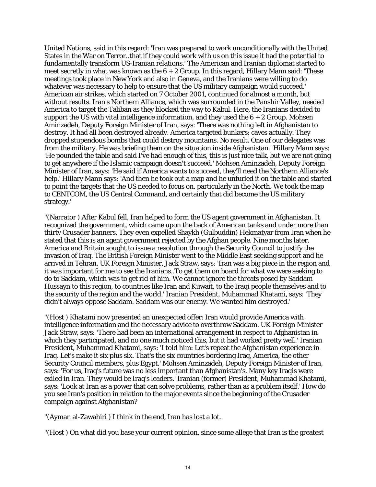United Nations, said in this regard: 'Iran was prepared to work unconditionally with the United States in the War on Terror..that if they could work with us on this issue it had the potential to fundamentally transform US-Iranian relations.' The American and Iranian diplomat started to meet secretly in what was known as the  $6 + 2$  Group. In this regard, Hillary Mann said: 'These meetings took place in New York and also in Geneva, and the Iranians were willing to do whatever was necessary to help to ensure that the US military campaign would succeed.' American air strikes, which started on 7 October 2001, continued for almost a month, but without results. Iran's Northern Alliance, which was surrounded in the Panshir Valley, needed America to target the Taliban as they blocked the way to Kabul. Here, the Iranians decided to support the US with vital intelligence information, and they used the  $6 + 2$  Group. Mohsen Aminzadeh, Deputy Foreign Minister of Iran, says: 'There was nothing left in Afghanistan to destroy. It had all been destroyed already. America targeted bunkers; caves actually. They dropped stupendous bombs that could destroy mountains. No result. One of our delegates was from the military. He was briefing them on the situation inside Afghanistan.' Hillary Mann says: 'He pounded the table and said I've had enough of this, this is just nice talk, but we are not going to get anywhere if the Islamic campaign doesn't succeed.' Mohsen Aminzadeh, Deputy Foreign Minister of Iran, says: 'He said if America wants to succeed, they'll need the Northern Alliance's help.' Hillary Mann says: 'And then he took out a map and he unfurled it on the table and started to point the targets that the US needed to focus on, particularly in the North. We took the map to CENTCOM, the US Central Command, and certainly that did become the US military strategy.'

"(Narrator ) After Kabul fell, Iran helped to form the US agent government in Afghanistan. It recognized the government, which came upon the back of American tanks and under more than thirty Crusader banners. They even expelled Shaykh (Gulbuddin) Hekmatyar from Iran when he stated that this is an agent government rejected by the Afghan people. Nine months later, America and Britain sought to issue a resolution through the Security Council to justify the invasion of Iraq. The British Foreign Minister went to the Middle East seeking support and he arrived in Tehran. UK Foreign Minister, Jack Straw, says: 'Iran was a big piece in the region and it was important for me to see the Iranians..To get them on board for what we were seeking to do to Saddam, which was to get rid of him. We cannot ignore the threats posed by Saddam Hussayn to this region, to countries like Iran and Kuwait, to the Iraqi people themselves and to the security of the region and the world.' Iranian President, Muhammad Khatami, says: 'They didn't always oppose Saddam. Saddam was our enemy. We wanted him destroyed.'

"(Host ) Khatami now presented an unexpected offer: Iran would provide America with intelligence information and the necessary advice to overthrow Saddam. UK Foreign Minister Jack Straw, says: 'There had been an international arrangement in respect to Afghanistan in which they participated, and no one much noticed this, but it had worked pretty well.' Iranian President, Muhammad Khatami, says: 'I told him: Let's repeat the Afghanistan experience in Iraq. Let's make it six plus six. That's the six countries bordering Iraq, America, the other Security Council members, plus Egypt.' Mohsen Aminzadeh, Deputy Foreign Minister of Iran, says: 'For us, Iraq's future was no less important than Afghanistan's. Many key Iraqis were exiled in Iran. They would be Iraq's leaders.' Iranian (former) President, Muhammad Khatami, says: 'Look at Iran as a power that can solve problems, rather than as a problem itself.' How do you see Iran's position in relation to the major events since the beginning of the Crusader campaign against Afghanistan?

"(Ayman al-Zawahiri ) I think in the end, Iran has lost a lot.

"(Host ) On what did you base your current opinion, since some allege that Iran is the greatest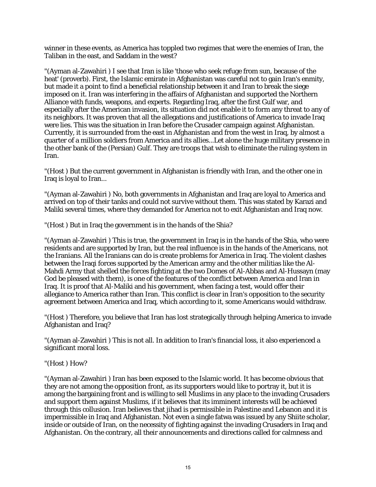winner in these events, as America has toppled two regimes that were the enemies of Iran, the Taliban in the east, and Saddam in the west?

"(Ayman al-Zawahiri ) I see that Iran is like 'those who seek refuge from sun, because of the heat' (proverb). First, the Islamic emirate in Afghanistan was careful not to gain Iran's enmity, but made it a point to find a beneficial relationship between it and Iran to break the siege imposed on it. Iran was interfering in the affairs of Afghanistan and supported the Northern Alliance with funds, weapons, and experts. Regarding Iraq, after the first Gulf war, and especially after the American invasion, its situation did not enable it to form any threat to any of its neighbors. It was proven that all the allegations and justifications of America to invade Iraq were lies. This was the situation in Iran before the Crusader campaign against Afghanistan. Currently, it is surrounded from the east in Afghanistan and from the west in Iraq, by almost a quarter of a million soldiers from America and its allies...Let alone the huge military presence in the other bank of the (Persian) Gulf. They are troops that wish to eliminate the ruling system in Iran.

"(Host ) But the current government in Afghanistan is friendly with Iran, and the other one in Iraq is loyal to Iran...

"(Ayman al-Zawahiri ) No, both governments in Afghanistan and Iraq are loyal to America and arrived on top of their tanks and could not survive without them. This was stated by Karazi and Maliki several times, where they demanded for America not to exit Afghanistan and Iraq now.

"(Host ) But in Iraq the government is in the hands of the Shia?

"(Ayman al-Zawahiri ) This is true, the government in Iraq is in the hands of the Shia, who were residents and are supported by Iran, but the real influence is in the hands of the Americans, not the Iranians. All the Iranians can do is create problems for America in Iraq. The violent clashes between the Iraqi forces supported by the American army and the other militias like the Al-Mahdi Army that shelled the forces fighting at the two Domes of Al-Abbas and Al-Hussayn (may God be pleased with them), is one of the features of the conflict between America and Iran in Iraq. It is proof that Al-Maliki and his government, when facing a test, would offer their allegiance to America rather than Iran. This conflict is clear in Iran's opposition to the security agreement between America and Iraq, which according to it, some Americans would withdraw.

"(Host ) Therefore, you believe that Iran has lost strategically through helping America to invade Afghanistan and Iraq?

"(Ayman al-Zawahiri ) This is not all. In addition to Iran's financial loss, it also experienced a significant moral loss.

"(Host ) How?

"(Ayman al-Zawahiri ) Iran has been exposed to the Islamic world. It has become obvious that they are not among the opposition front, as its supporters would like to portray it, but it is among the bargaining front and is willing to sell Muslims in any place to the invading Crusaders and support them against Muslims, if it believes that its imminent interests will be achieved through this collusion. Iran believes that jihad is permissible in Palestine and Lebanon and it is impermissible in Iraq and Afghanistan. Not even a single fatwa was issued by any Shiite scholar, inside or outside of Iran, on the necessity of fighting against the invading Crusaders in Iraq and Afghanistan. On the contrary, all their announcements and directions called for calmness and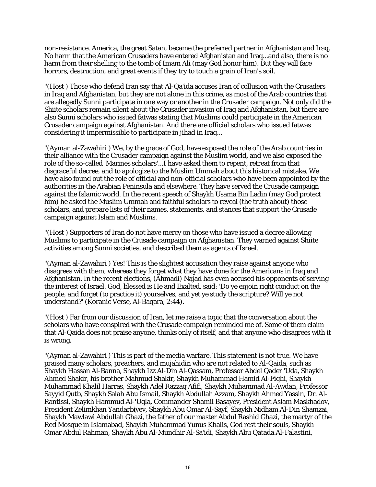non-resistance. America, the great Satan, became the preferred partner in Afghanistan and Iraq. No harm that the American Crusaders have entered Afghanistan and Iraq...and also, there is no harm from their shelling to the tomb of Imam Ali (may God honor him). But they will face horrors, destruction, and great events if they try to touch a grain of Iran's soil.

"(Host ) Those who defend Iran say that Al-Qa'ida accuses Iran of collusion with the Crusaders in Iraq and Afghanistan, but they are not alone in this crime, as most of the Arab countries that are allegedly Sunni participate in one way or another in the Crusader campaign. Not only did the Shiite scholars remain silent about the Crusader invasion of Iraq and Afghanistan, but there are also Sunni scholars who issued fatwas stating that Muslims could participate in the American Crusader campaign against Afghanistan. And there are official scholars who issued fatwas considering it impermissible to participate in jihad in Iraq...

"(Ayman al-Zawahiri ) We, by the grace of God, have exposed the role of the Arab countries in their alliance with the Crusader campaign against the Muslim world, and we also exposed the role of the so-called 'Marines scholars'...I have asked them to repent, retreat from that disgraceful decree, and to apologize to the Muslim Ummah about this historical mistake. We have also found out the role of official and non-official scholars who have been appointed by the authorities in the Arabian Peninsula and elsewhere. They have served the Crusade campaign against the Islamic world. In the recent speech of Shaykh Usama Bin Ladin (may God protect him) he asked the Muslim Ummah and faithful scholars to reveal (the truth about) those scholars, and prepare lists of their names, statements, and stances that support the Crusade campaign against Islam and Muslims.

"(Host ) Supporters of Iran do not have mercy on those who have issued a decree allowing Muslims to participate in the Crusade campaign on Afghanistan. They warned against Shiite activities among Sunni societies, and described them as agents of Israel.

"(Ayman al-Zawahiri ) Yes! This is the slightest accusation they raise against anyone who disagrees with them, whereas they forget what they have done for the Americans in Iraq and Afghanistan. In the recent elections, (Ahmadi) Najad has even accused his opponents of serving the interest of Israel. God, blessed is He and Exalted, said: 'Do ye enjoin right conduct on the people, and forget (to practice it) yourselves, and yet ye study the scripture? Will ye not understand?' (Koranic Verse, Al-Baqara, 2:44).

"(Host ) Far from our discussion of Iran, let me raise a topic that the conversation about the scholars who have conspired with the Crusade campaign reminded me of. Some of them claim that Al-Qaida does not praise anyone, thinks only of itself, and that anyone who disagrees with it is wrong.

"(Ayman al-Zawahiri ) This is part of the media warfare. This statement is not true. We have praised many scholars, preachers, and mujahidin who are not related to Al-Qaida, such as Shaykh Hassan Al-Banna, Shaykh Izz Al-Din Al-Qassam, Professor Abdel Qader 'Uda, Shaykh Ahmed Shakir, his brother Mahmud Shakir, Shaykh Muhammad Hamid Al-Fiqhi, Shaykh Muhammad Khalil Harras, Shaykh Adel Razzaq Afifi, Shaykh Muhammad Al-Awdan, Professor Sayyid Qutb, Shaykh Salah Abu Ismail, Shaykh Abdullah Azzam, Shaykh Ahmed Yassin, Dr. Al-Rantissi, Shaykh Hammud Al-'Uqla, Commander Shamil Basayev, President Aslam Maskhadov, President Zelimkhan Yandarbiyev, Shaykh Abu Omar Al-Sayf, Shaykh Nidham Al-Din Shamzai, Shaykh Mawlawi Abdullah Ghazi, the father of our master Abdul Rashid Ghazi, the martyr of the Red Mosque in Islamabad, Shaykh Muhammad Yunus Khalis, God rest their souls, Shaykh Omar Abdul Rahman, Shaykh Abu Al-Mundhir Al-Sa'idi, Shaykh Abu Qatada Al-Falastini,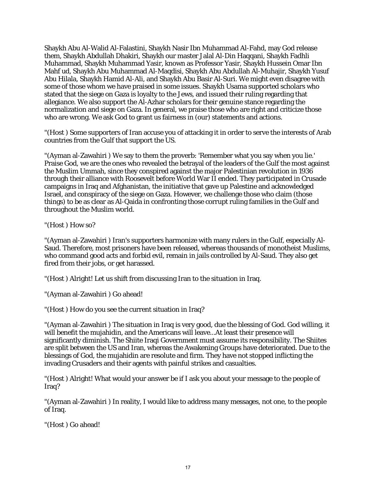Shaykh Abu Al-Walid Al-Falastini, Shaykh Nasir Ibn Muhammad Al-Fahd, may God release them, Shaykh Abdullah Dhakiri, Shaykh our master Jalal Al-Din Haqqani, Shaykh Fadhli Muhammad, Shaykh Muhammad Yasir, known as Professor Yasir, Shaykh Hussein Omar Ibn Mahf ud, Shaykh Abu Muhammad Al-Maqdisi, Shaykh Abu Abdullah Al-Muhajir, Shaykh Yusuf Abu Hilala, Shaykh Hamid Al-Ali, and Shaykh Abu Basir Al-Suri. We might even disagree with some of those whom we have praised in some issues. Shaykh Usama supported scholars who stated that the siege on Gaza is loyalty to the Jews, and issued their ruling regarding that allegiance. We also support the Al-Azhar scholars for their genuine stance regarding the normalization and siege on Gaza. In general, we praise those who are right and criticize those who are wrong. We ask God to grant us fairness in (our) statements and actions.

"(Host ) Some supporters of Iran accuse you of attacking it in order to serve the interests of Arab countries from the Gulf that support the US.

"(Ayman al-Zawahiri ) We say to them the proverb: 'Remember what you say when you lie.' Praise God, we are the ones who revealed the betrayal of the leaders of the Gulf the most against the Muslim Ummah, since they conspired against the major Palestinian revolution in 1936 through their alliance with Roosevelt before World War II ended. They participated in Crusade campaigns in Iraq and Afghanistan, the initiative that gave up Palestine and acknowledged Israel, and conspiracy of the siege on Gaza. However, we challenge those who claim (those things) to be as clear as Al-Qaida in confronting those corrupt ruling families in the Gulf and throughout the Muslim world.

"(Host ) How so?

"(Ayman al-Zawahiri ) Iran's supporters harmonize with many rulers in the Gulf, especially Al-Saud. Therefore, most prisoners have been released, whereas thousands of monotheist Muslims, who command good acts and forbid evil, remain in jails controlled by Al-Saud. They also get fired from their jobs, or get harassed.

"(Host ) Alright! Let us shift from discussing Iran to the situation in Iraq.

"(Ayman al-Zawahiri ) Go ahead!

"(Host ) How do you see the current situation in Iraq?

"(Ayman al-Zawahiri ) The situation in Iraq is very good, due the blessing of God. God willing, it will benefit the mujahidin, and the Americans will leave...At least their presence will significantly diminish. The Shiite Iraqi Government must assume its responsibility. The Shiites are split between the US and Iran, whereas the Awakening Groups have deteriorated. Due to the blessings of God, the mujahidin are resolute and firm. They have not stopped inflicting the invading Crusaders and their agents with painful strikes and casualties.

"(Host ) Alright! What would your answer be if I ask you about your message to the people of Iraq?

"(Ayman al-Zawahiri ) In reality, I would like to address many messages, not one, to the people of Iraq.

"(Host ) Go ahead!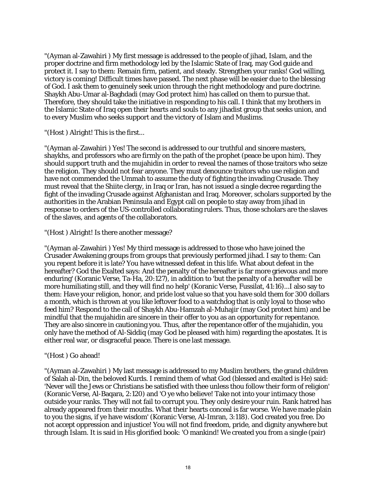"(Ayman al-Zawahiri ) My first message is addressed to the people of jihad, Islam, and the proper doctrine and firm methodology led by the Islamic State of Iraq, may God guide and protect it. I say to them: Remain firm, patient, and steady. Strengthen your ranks! God willing, victory is coming! Difficult times have passed. The next phase will be easier due to the blessing of God. I ask them to genuinely seek union through the right methodology and pure doctrine. Shaykh Abu-Umar al-Baghdadi (may God protect him) has called on them to pursue that. Therefore, they should take the initiative in responding to his call. I think that my brothers in the Islamic State of Iraq open their hearts and souls to any jihadist group that seeks union, and to every Muslim who seeks support and the victory of Islam and Muslims.

"(Host ) Alright! This is the first...

"(Ayman al-Zawahiri ) Yes! The second is addressed to our truthful and sincere masters, shaykhs, and professors who are firmly on the path of the prophet (peace be upon him). They should support truth and the mujahidin in order to reveal the names of those traitors who seize the religion. They should not fear anyone. They must denounce traitors who use religion and have not commended the Ummah to assume the duty of fighting the invading Crusade. They must reveal that the Shiite clergy, in Iraq or Iran, has not issued a single decree regarding the fight of the invading Crusade against Afghanistan and Iraq. Moreover, scholars supported by the authorities in the Arabian Peninsula and Egypt call on people to stay away from jihad in response to orders of the US-controlled collaborating rulers. Thus, those scholars are the slaves of the slaves, and agents of the collaborators.

"(Host ) Alright! Is there another message?

"(Ayman al-Zawahiri ) Yes! My third message is addressed to those who have joined the Crusader Awakening groups from groups that previously performed jihad. I say to them: Can you repent before it is late? You have witnessed defeat in this life. What about defeat in the hereafter? God the Exalted says: And the penalty of the hereafter is far more grievous and more enduring' (Koranic Verse, Ta-Ha, 20:127), in addition to 'but the penalty of a hereafter will be more humiliating still, and they will find no help' (Koranic Verse, Fussilat, 41:16)...I also say to them: Have your religion, honor, and pride lost value so that you have sold them for 300 dollars a month, which is thrown at you like leftover food to a watchdog that is only loyal to those who feed him? Respond to the call of Shaykh Abu-Hamzah al-Muhajir (may God protect him) and be mindful that the mujahidin are sincere in their offer to you as an opportunity for repentance. They are also sincere in cautioning you. Thus, after the repentance offer of the mujahidin, you only have the method of Al-Siddiq (may God be pleased with him) regarding the apostates. It is either real war, or disgraceful peace. There is one last message.

## "(Host ) Go ahead!

"(Ayman al-Zawahiri ) My last message is addressed to my Muslim brothers, the grand children of Salah al-Din, the beloved Kurds. I remind them of what God (blessed and exalted is He) said: 'Never will the Jews or Christians be satisfied with thee unless thou follow their form of religion' (Koranic Verse, Al-Baqara, 2:120) and 'O ye who believe! Take not into your intimacy those outside your ranks. They will not fail to corrupt you. They only desire your ruin. Rank hatred has already appeared from their mouths. What their hearts conceal is far worse. We have made plain to you the signs, if ye have wisdom' (Koranic Verse, Al-Imran, 3:118). God created you free. Do not accept oppression and injustice! You will not find freedom, pride, and dignity anywhere but through Islam. It is said in His glorified book: 'O mankind! We created you from a single (pair)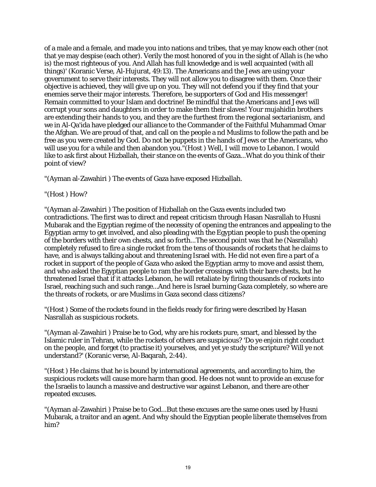of a male and a female, and made you into nations and tribes, that ye may know each other (not that ye may despise (each other). Verily the most honored of you in the sight of Allah is (he who is) the most righteous of you. And Allah has full knowledge and is well acquainted (with all things)' (Koranic Verse, Al-Hujurat, 49:13). The Americans and the Jews are using your government to serve their interests. They will not allow you to disagree with them. Once their objective is achieved, they will give up on you. They will not defend you if they find that your enemies serve their major interests. Therefore, be supporters of God and His messenger! Remain committed to your Islam and doctrine! Be mindful that the Americans and Jews will corrupt your sons and daughters in order to make them their slaves! Your mujahidin brothers are extending their hands to you, and they are the furthest from the regional sectarianism, and we in Al-Qa'ida have pledged our alliance to the Commander of the Faithful Muhammad Omar the Afghan. We are proud of that, and call on the people a nd Muslims to follow the path and be free as you were created by God. Do not be puppets in the hands of Jews or the Americans, who will use you for a while and then abandon you."(Host ) Well, I will move to Lebanon. I would like to ask first about Hizballah, their stance on the events of Gaza...What do you think of their point of view?

"(Ayman al-Zawahiri ) The events of Gaza have exposed Hizballah.

"(Host ) How?

"(Ayman al-Zawahiri ) The position of Hizballah on the Gaza events included two contradictions. The first was to direct and repeat criticism through Hasan Nasrallah to Husni Mubarak and the Egyptian regime of the necessity of opening the entrances and appealing to the Egyptian army to get involved, and also pleading with the Egyptian people to push the opening of the borders with their own chests, and so forth...The second point was that he (Nasrallah) completely refused to fire a single rocket from the tens of thousands of rockets that he claims to have, and is always talking about and threatening Israel with. He did not even fire a part of a rocket in support of the people of Gaza who asked the Egyptian army to move and assist them, and who asked the Egyptian people to ram the border crossings with their bare chests, but he threatened Israel that if it attacks Lebanon, he will retaliate by firing thousands of rockets into Israel, reaching such and such range...And here is Israel burning Gaza completely, so where are the threats of rockets, or are Muslims in Gaza second class citizens?

"(Host ) Some of the rockets found in the fields ready for firing were described by Hasan Nasrallah as suspicious rockets.

"(Ayman al-Zawahiri ) Praise be to God, why are his rockets pure, smart, and blessed by the Islamic ruler in Tehran, while the rockets of others are suspicious? 'Do ye enjoin right conduct on the people, and forget (to practise it) yourselves, and yet ye study the scripture? Will ye not understand?' (Koranic verse, Al-Baqarah, 2:44).

"(Host ) He claims that he is bound by international agreements, and according to him, the suspicious rockets will cause more harm than good. He does not want to provide an excuse for the Israelis to launch a massive and destructive war against Lebanon, and there are other repeated excuses.

"(Ayman al-Zawahiri ) Praise be to God...But these excuses are the same ones used by Husni Mubarak, a traitor and an agent. And why should the Egyptian people liberate themselves from him?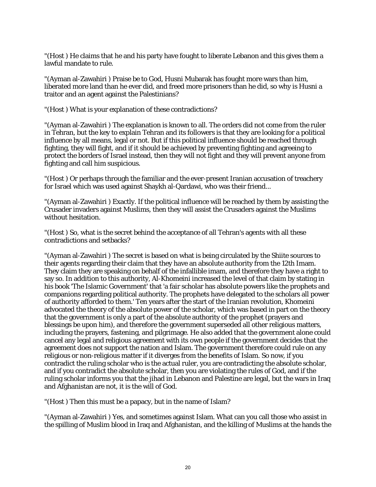"(Host ) He claims that he and his party have fought to liberate Lebanon and this gives them a lawful mandate to rule.

"(Ayman al-Zawahiri ) Praise be to God, Husni Mubarak has fought more wars than him, liberated more land than he ever did, and freed more prisoners than he did, so why is Husni a traitor and an agent against the Palestinians?

"(Host ) What is your explanation of these contradictions?

"(Ayman al-Zawahiri ) The explanation is known to all. The orders did not come from the ruler in Tehran, but the key to explain Tehran and its followers is that they are looking for a political influence by all means, legal or not. But if this political influence should be reached through fighting, they will fight, and if it should be achieved by preventing fighting and agreeing to protect the borders of Israel instead, then they will not fight and they will prevent anyone from fighting and call him suspicious.

"(Host ) Or perhaps through the familiar and the ever-present Iranian accusation of treachery for Israel which was used against Shaykh al-Qardawi, who was their friend...

"(Ayman al-Zawahiri ) Exactly. If the political influence will be reached by them by assisting the Crusader invaders against Muslims, then they will assist the Crusaders against the Muslims without hesitation.

"(Host ) So, what is the secret behind the acceptance of all Tehran's agents with all these contradictions and setbacks?

"(Ayman al-Zawahiri ) The secret is based on what is being circulated by the Shiite sources to their agents regarding their claim that they have an absolute authority from the 12th Imam. They claim they are speaking on behalf of the infallible imam, and therefore they have a right to say so. In addition to this authority, Al-Khomeini increased the level of that claim by stating in his book 'The Islamic Government' that 'a fair scholar has absolute powers like the prophets and companions regarding political authority. The prophets have delegated to the scholars all power of authority afforded to them.' Ten years after the start of the Iranian revolution, Khomeini advocated the theory of the absolute power of the scholar, which was based in part on the theory that the government is only a part of the absolute authority of the prophet (prayers and blessings be upon him), and therefore the government superseded all other religious matters, including the prayers, fastening, and pilgrimage. He also added that the government alone could cancel any legal and religious agreement with its own people if the government decides that the agreement does not support the nation and Islam. The government therefore could rule on any religious or non-religious matter if it diverges from the benefits of Islam. So now, if you contradict the ruling scholar who is the actual ruler, you are contradicting the absolute scholar, and if you contradict the absolute scholar, then you are violating the rules of God, and if the ruling scholar informs you that the jihad in Lebanon and Palestine are legal, but the wars in Iraq and Afghanistan are not, it is the will of God.

"(Host ) Then this must be a papacy, but in the name of Islam?

"(Ayman al-Zawahiri ) Yes, and sometimes against Islam. What can you call those who assist in the spilling of Muslim blood in Iraq and Afghanistan, and the killing of Muslims at the hands the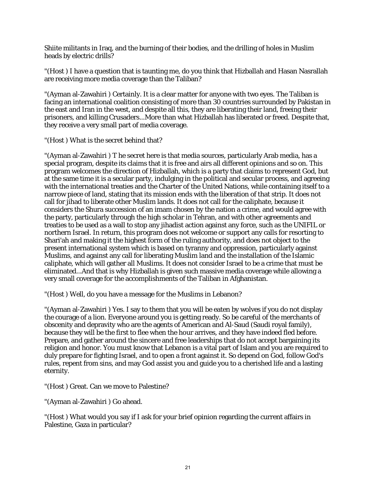Shiite militants in Iraq, and the burning of their bodies, and the drilling of holes in Muslim heads by electric drills?

"(Host ) I have a question that is taunting me, do you think that Hizballah and Hasan Nasrallah are receiving more media coverage than the Taliban?

"(Ayman al-Zawahiri ) Certainly. It is a clear matter for anyone with two eyes. The Taliban is facing an international coalition consisting of more than 30 countries surrounded by Pakistan in the east and Iran in the west, and despite all this, they are liberating their land, freeing their prisoners, and killing Crusaders...More than what Hizballah has liberated or freed. Despite that, they receive a very small part of media coverage.

"(Host ) What is the secret behind that?

"(Ayman al-Zawahiri ) T he secret here is that media sources, particularly Arab media, has a special program, despite its claims that it is free and airs all different opinions and so on. This program welcomes the direction of Hizballah, which is a party that claims to represent God, but at the same time it is a secular party, indulging in the political and secular process, and agreeing with the international treaties and the Charter of the United Nations, while containing itself to a narrow piece of land, stating that its mission ends with the liberation of that strip. It does not call for jihad to liberate other Muslim lands. It does not call for the caliphate, because it considers the Shura succession of an imam chosen by the nation a crime, and would agree with the party, particularly through the high scholar in Tehran, and with other agreements and treaties to be used as a wall to stop any jihadist action against any force, such as the UNIFIL or northern Israel. In return, this program does not welcome or support any calls for resorting to Shari'ah and making it the highest form of the ruling authority, and does not object to the present international system which is based on tyranny and oppression, particularly against Muslims, and against any call for liberating Muslim land and the installation of the Islamic caliphate, which will gather all Muslims. It does not consider Israel to be a crime that must be eliminated...And that is why Hizballah is given such massive media coverage while allowing a very small coverage for the accomplishments of the Taliban in Afghanistan.

"(Host ) Well, do you have a message for the Muslims in Lebanon?

"(Ayman al-Zawahiri ) Yes. I say to them that you will be eaten by wolves if you do not display the courage of a lion. Everyone around you is getting ready. So be careful of the merchants of obscenity and depravity who are the agents of American and Al-Saud (Saudi royal family), because they will be the first to flee when the hour arrives, and they have indeed fled before. Prepare, and gather around the sincere and free leaderships that do not accept bargaining its religion and honor. You must know that Lebanon is a vital part of Islam and you are required to duly prepare for fighting Israel, and to open a front against it. So depend on God, follow God's rules, repent from sins, and may God assist you and guide you to a cherished life and a lasting eternity.

"(Host ) Great. Can we move to Palestine?

"(Ayman al-Zawahiri ) Go ahead.

"(Host ) What would you say if I ask for your brief opinion regarding the current affairs in Palestine, Gaza in particular?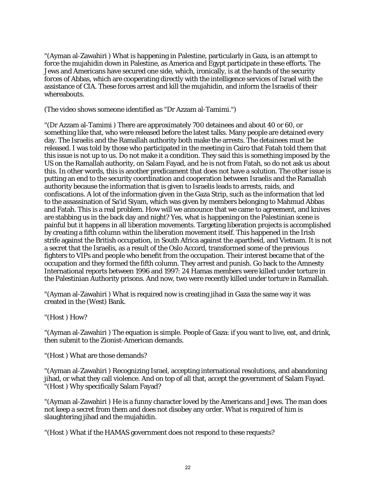"(Ayman al-Zawahiri ) What is happening in Palestine, particularly in Gaza, is an attempt to force the mujahidin down in Palestine, as America and Egypt participate in these efforts. The Jews and Americans have secured one side, which, ironically, is at the hands of the security forces of Abbas, which are cooperating directly with the intelligence services of Israel with the assistance of CIA. These forces arrest and kill the mujahidin, and inform the Israelis of their whereabouts.

(The video shows someone identified as "Dr Azzam al-Tamimi.")

"(Dr Azzam al-Tamimi ) There are approximately 700 detainees and about 40 or 60, or something like that, who were released before the latest talks. Many people are detained every day. The Israelis and the Ramallah authority both make the arrests. The detainees must be released. I was told by those who participated in the meeting in Cairo that Fatah told them that this issue is not up to us. Do not make it a condition. They said this is something imposed by the US on the Ramallah authority, on Salam Fayad, and he is not from Fatah, so do not ask us about this. In other words, this is another predicament that does not have a solution. The other issue is putting an end to the security coordination and cooperation between Israelis and the Ramallah authority because the information that is given to Israelis leads to arrests, raids, and confiscations. A lot of the information given in the Gaza Strip, such as the information that led to the assassination of Sa'id Siyam, which was given by members belonging to Mahmud Abbas and Fatah. This is a real problem. How will we announce that we came to agreement, and knives are stabbing us in the back day and night? Yes, what is happening on the Palestinian scene is painful but it happens in all liberation movements. Targeting liberation projects is accomplished by creating a fifth column within the liberation movement itself. This happened in the Irish strife against the British occupation, in South Africa against the apartheid, and Vietnam. It is not a secret that the Israelis, as a result of the Oslo Accord, transformed some of the previous fighters to VIPs and people who benefit from the occupation. Their interest became that of the occupation and they formed the fifth column. They arrest and punish. Go back to the Amnesty International reports between 1996 and 1997: 24 Hamas members were killed under torture in the Palestinian Authority prisons. And now, two were recently killed under torture in Ramallah.

"(Ayman al-Zawahiri ) What is required now is creating jihad in Gaza the same way it was created in the (West) Bank.

"(Host ) How?

"(Ayman al-Zawahiri ) The equation is simple. People of Gaza: if you want to live, eat, and drink, then submit to the Zionist-American demands.

"(Host ) What are those demands?

"(Ayman al-Zawahiri ) Recognizing Israel, accepting international resolutions, and abandoning jihad, or what they call violence. And on top of all that, accept the government of Salam Fayad. "(Host ) Why specifically Salam Fayad?

"(Ayman al-Zawahiri ) He is a funny character loved by the Americans and Jews. The man does not keep a secret from them and does not disobey any order. What is required of him is slaughtering jihad and the mujahidin.

"(Host ) What if the HAMAS government does not respond to these requests?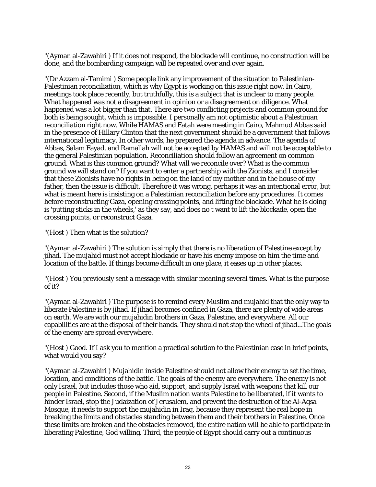"(Ayman al-Zawahiri ) If it does not respond, the blockade will continue, no construction will be done, and the bombarding campaign will be repeated over and over again.

"(Dr Azzam al-Tamimi ) Some people link any improvement of the situation to Palestinian-Palestinian reconciliation, which is why Egypt is working on this issue right now. In Cairo, meetings took place recently, but truthfully, this is a subject that is unclear to many people. What happened was not a disagreement in opinion or a disagreement on diligence. What happened was a lot bigger than that. There are two conflicting projects and common ground for both is being sought, which is impossible. I personally am not optimistic about a Palestinian reconciliation right now. While HAMAS and Fatah were meeting in Cairo, Mahmud Abbas said in the presence of Hillary Clinton that the next government should be a government that follows international legitimacy. In other words, he prepared the agenda in advance. The agenda of Abbas, Salam Fayad, and Ramallah will not be accepted by HAMAS and will not be acceptable to the general Palestinian population. Reconciliation should follow an agreement on common ground. What is this common ground? What will we reconcile over? What is the common ground we will stand on? If you want to enter a partnership with the Zionists, and I consider that these Zionists have no rights in being on the land of my mother and in the house of my father, then the issue is difficult. Therefore it was wrong, perhaps it was an intentional error, but what is meant here is insisting on a Palestinian reconciliation before any procedures. It comes before reconstructing Gaza, opening crossing points, and lifting the blockade. What he is doing is 'putting sticks in the wheels,' as they say, and does no t want to lift the blockade, open the crossing points, or reconstruct Gaza.

"(Host ) Then what is the solution?

"(Ayman al-Zawahiri ) The solution is simply that there is no liberation of Palestine except by jihad. The mujahid must not accept blockade or have his enemy impose on him the time and location of the battle. If things become difficult in one place, it eases up in other places.

"(Host ) You previously sent a message with similar meaning several times. What is the purpose of it?

"(Ayman al-Zawahiri ) The purpose is to remind every Muslim and mujahid that the only way to liberate Palestine is by jihad. If jihad becomes confined in Gaza, there are plenty of wide areas on earth. We are with our mujahidin brothers in Gaza, Palestine, and everywhere. All our capabilities are at the disposal of their hands. They should not stop the wheel of jihad...The goals of the enemy are spread everywhere.

"(Host ) Good. If I ask you to mention a practical solution to the Palestinian case in brief points, what would you say?

"(Ayman al-Zawahiri ) Mujahidin inside Palestine should not allow their enemy to set the time, location, and conditions of the battle. The goals of the enemy are everywhere. The enemy is not only Israel, but includes those who aid, support, and supply Israel with weapons that kill our people in Palestine. Second, if the Muslim nation wants Palestine to be liberated, if it wants to hinder Israel, stop the Judaization of Jerusalem, and prevent the destruction of the Al-Aqsa Mosque, it needs to support the mujahidin in Iraq, because they represent the real hope in breaking the limits and obstacles standing between them and their brothers in Palestine. Once these limits are broken and the obstacles removed, the entire nation will be able to participate in liberating Palestine, God willing. Third, the people of Egypt should carry out a continuous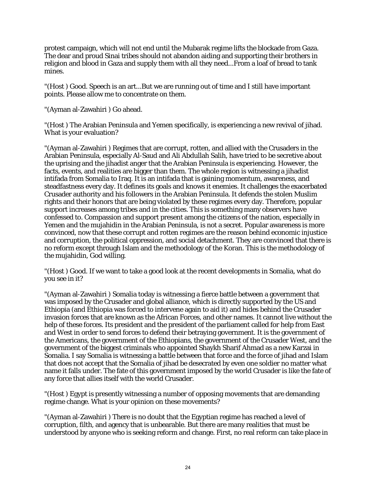protest campaign, which will not end until the Mubarak regime lifts the blockade from Gaza. The dear and proud Sinai tribes should not abandon aiding and supporting their brothers in religion and blood in Gaza and supply them with all they need...From a loaf of bread to tank mines.

"(Host ) Good. Speech is an art...But we are running out of time and I still have important points. Please allow me to concentrate on them.

"(Ayman al-Zawahiri ) Go ahead.

"(Host ) The Arabian Peninsula and Yemen specifically, is experiencing a new revival of jihad. What is your evaluation?

"(Ayman al-Zawahiri ) Regimes that are corrupt, rotten, and allied with the Crusaders in the Arabian Peninsula, especially Al-Saud and Ali Abdullah Salih, have tried to be secretive about the uprising and the jihadist anger that the Arabian Peninsula is experiencing. However, the facts, events, and realities are bigger than them. The whole region is witnessing a jihadist intifada from Somalia to Iraq. It is an intifada that is gaining momentum, awareness, and steadfastness every day. It defines its goals and knows it enemies. It challenges the exacerbated Crusader authority and his followers in the Arabian Peninsula. It defends the stolen Muslim rights and their honors that are being violated by these regimes every day. Therefore, popular support increases among tribes and in the cities. This is something many observers have confessed to. Compassion and support present among the citizens of the nation, especially in Yemen and the mujahidin in the Arabian Peninsula, is not a secret. Popular awareness is more convinced, now that these corrupt and rotten regimes are the reason behind economic injustice and corruption, the political oppression, and social detachment. They are convinced that there is no reform except through Islam and the methodology of the Koran. This is the methodology of the mujahidin, God willing.

"(Host ) Good. If we want to take a good look at the recent developments in Somalia, what do you see in it?

"(Ayman al-Zawahiri ) Somalia today is witnessing a fierce battle between a government that was imposed by the Crusader and global alliance, which is directly supported by the US and Ethiopia (and Ethiopia was forced to intervene again to aid it) and hides behind the Crusader invasion forces that are known as the African Forces, and other names. It cannot live without the help of these forces. Its president and the president of the parliament called for help from East and West in order to send forces to defend their betraying government. It is the government of the Americans, the government of the Ethiopians, the government of the Crusader West, and the government of the biggest criminals who appointed Shaykh Sharif Ahmad as a new Karzai in Somalia. I say Somalia is witnessing a battle between that force and the force of jihad and Islam that does not accept that the Somalia of jihad be desecrated by even one soldier no matter what name it falls under. The fate of this government imposed by the world Crusader is like the fate of any force that allies itself with the world Crusader.

"(Host ) Egypt is presently witnessing a number of opposing movements that are demanding regime change. What is your opinion on these movements?

"(Ayman al-Zawahiri ) There is no doubt that the Egyptian regime has reached a level of corruption, filth, and agency that is unbearable. But there are many realities that must be understood by anyone who is seeking reform and change. First, no real reform can take place in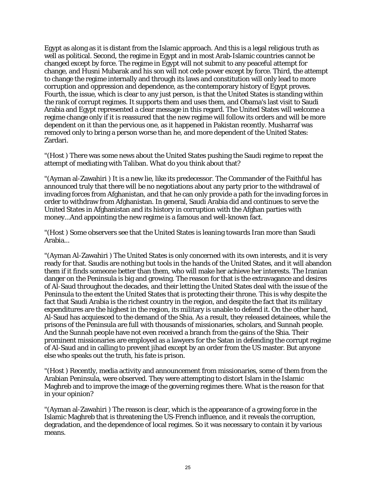Egypt as along as it is distant from the Islamic approach. And this is a legal religious truth as well as political. Second, the regime in Egypt and in most Arab-Islamic countries cannot be changed except by force. The regime in Egypt will not submit to any peaceful attempt for change, and Husni Mubarak and his son will not cede power except by force. Third, the attempt to change the regime internally and through its laws and constitution will only lead to more corruption and oppression and dependence, as the contemporary history of Egypt proves. Fourth, the issue, which is clear to any just person, is that the United States is standing within the rank of corrupt regimes. It supports them and uses them, and Obama's last visit to Saudi Arabia and Egypt represented a clear message in this regard. The United States will welcome a regime change only if it is reassured that the new regime will follow its orders and will be more dependent on it than the pervious one, as it happened in Pakistan recently. Musharraf was removed only to bring a person worse than he, and more dependent of the United States: Zardari.

"(Host ) There was some news about the United States pushing the Saudi regime to repeat the attempt of mediating with Taliban. What do you think about that?

"(Ayman al-Zawahiri ) It is a new lie, like its predecessor. The Commander of the Faithful has announced truly that there will be no negotiations about any party prior to the withdrawal of invading forces from Afghanistan, and that he can only provide a path for the invading forces in order to withdraw from Afghanistan. In general, Saudi Arabia did and continues to serve the United States in Afghanistan and its history in corruption with the Afghan parties with money...And appointing the new regime is a famous and well-known fact.

"(Host ) Some observers see that the United States is leaning towards Iran more than Saudi Arabia...

"(Ayman Al-Zawahiri ) The United States is only concerned with its own interests, and it is very ready for that. Saudis are nothing but tools in the hands of the United States, and it will abandon them if it finds someone better than them, who will make her achieve her interests. The Iranian danger on the Peninsula is big and growing. The reason for that is the extravagance and desires of Al-Saud throughout the decades, and their letting the United States deal with the issue of the Peninsula to the extent the United States that is protecting their throne. This is why despite the fact that Saudi Arabia is the richest country in the region, and despite the fact that its military expenditures are the highest in the region, its military is unable to defend it. On the other hand, Al-Saud has acquiesced to the demand of the Shia. As a result, they released detainees, while the prisons of the Peninsula are full with thousands of missionaries, scholars, and Sunnah people. And the Sunnah people have not even received a branch from the gains of the Shia. Their prominent missionaries are employed as a lawyers for the Satan in defending the corrupt regime of Al-Saud and in calling to prevent jihad except by an order from the US master. But anyone else who speaks out the truth, his fate is prison.

"(Host ) Recently, media activity and announcement from missionaries, some of them from the Arabian Peninsula, were observed. They were attempting to distort Islam in the Islamic Maghreb and to improve the image of the governing regimes there. What is the reason for that in your opinion?

"(Ayman al-Zawahiri ) The reason is clear, which is the appearance of a growing force in the Islamic Maghreb that is threatening the US-French influence, and it reveals the corruption, degradation, and the dependence of local regimes. So it was necessary to contain it by various means.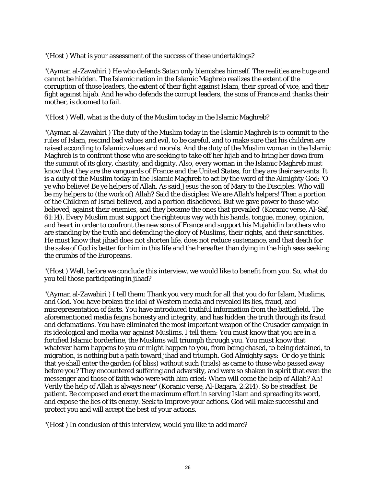"(Host ) What is your assessment of the success of these undertakings?

"(Ayman al-Zawahiri ) He who defends Satan only blemishes himself. The realities are huge and cannot be hidden. The Islamic nation in the Islamic Maghreb realizes the extent of the corruption of those leaders, the extent of their fight against Islam, their spread of vice, and their fight against hijab. And he who defends the corrupt leaders, the sons of France and thanks their mother, is doomed to fail.

"(Host ) Well, what is the duty of the Muslim today in the Islamic Maghreb?

"(Ayman al-Zawahiri ) The duty of the Muslim today in the Islamic Maghreb is to commit to the rules of Islam, rescind bad values and evil, to be careful, and to make sure that his children are raised according to Islamic values and morals. And the duty of the Muslim woman in the Islamic Maghreb is to confront those who are seeking to take off her hijab and to bring her down from the summit of its glory, chastity, and dignity. Also, every woman in the Islamic Maghreb must know that they are the vanguards of France and the United States, for they are their servants. It is a duty of the Muslim today in the Islamic Maghreb to act by the word of the Almighty God: 'O ye who believe! Be ye helpers of Allah. As said Jesus the son of Mary to the Disciples: Who will be my helpers to (the work of) Allah? Said the disciples: We are Allah's helpers! Then a portion of the Children of Israel believed, and a portion disbelieved. But we gave power to those who believed, against their enemies, and they became the ones that prevailed' (Koranic verse, Al-Saf, 61:14). Every Muslim must support the righteous way with his hands, tongue, money, opinion, and heart in order to confront the new sons of France and support his Mujahidin brothers who are standing by the truth and defending the glory of Muslims, their rights, and their sanctities. He must know that jihad does not shorten life, does not reduce sustenance, and that death for the sake of God is better for him in this life and the hereafter than dying in the high seas seeking the crumbs of the Europeans.

"(Host ) Well, before we conclude this interview, we would like to benefit from you. So, what do you tell those participating in jihad?

"(Ayman al-Zawahiri ) I tell them: Thank you very much for all that you do for Islam, Muslims, and God. You have broken the idol of Western media and revealed its lies, fraud, and misrepresentation of facts. You have introduced truthful information from the battlefield. The aforementioned media feigns honesty and integrity, and has hidden the truth through its fraud and defamations. You have eliminated the most important weapon of the Crusader campaign in its ideological and media war against Muslims. I tell them: You must know that you are in a fortified Islamic borderline, the Muslims will triumph through you. You must know that whatever harm happens to you or might happen to you, from being chased, to being detained, to migration, is nothing but a path toward jihad and triumph. God Almighty says: 'Or do ye think that ye shall enter the garden (of bliss) without such (trials) as came to those who passed away before you? They encountered suffering and adversity, and were so shaken in spirit that even the messenger and those of faith who were with him cried: When will come the help of Allah? Ah! Verily the help of Allah is always near' (Koranic verse, Al-Baqara, 2:214). So be steadfast. Be patient. Be composed and exert the maximum effort in serving Islam and spreading its word, and expose the lies of its enemy. Seek to improve your actions. God will make successful and protect you and will accept the best of your actions.

"(Host ) In conclusion of this interview, would you like to add more?